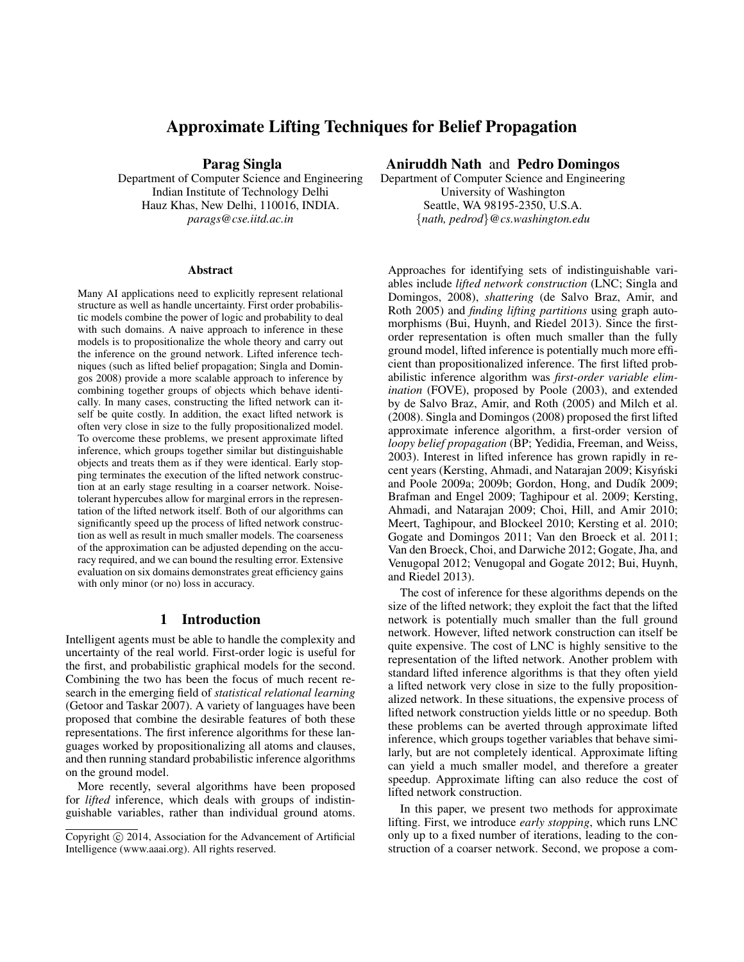# Approximate Lifting Techniques for Belief Propagation

Parag Singla

Department of Computer Science and Engineering Indian Institute of Technology Delhi Hauz Khas, New Delhi, 110016, INDIA. *parags@cse.iitd.ac.in*

#### Abstract

Many AI applications need to explicitly represent relational structure as well as handle uncertainty. First order probabilistic models combine the power of logic and probability to deal with such domains. A naive approach to inference in these models is to propositionalize the whole theory and carry out the inference on the ground network. Lifted inference techniques (such as lifted belief propagation; Singla and Domingos 2008) provide a more scalable approach to inference by combining together groups of objects which behave identically. In many cases, constructing the lifted network can itself be quite costly. In addition, the exact lifted network is often very close in size to the fully propositionalized model. To overcome these problems, we present approximate lifted inference, which groups together similar but distinguishable objects and treats them as if they were identical. Early stopping terminates the execution of the lifted network construction at an early stage resulting in a coarser network. Noisetolerant hypercubes allow for marginal errors in the representation of the lifted network itself. Both of our algorithms can significantly speed up the process of lifted network construction as well as result in much smaller models. The coarseness of the approximation can be adjusted depending on the accuracy required, and we can bound the resulting error. Extensive evaluation on six domains demonstrates great efficiency gains with only minor (or no) loss in accuracy.

#### 1 Introduction

Intelligent agents must be able to handle the complexity and uncertainty of the real world. First-order logic is useful for the first, and probabilistic graphical models for the second. Combining the two has been the focus of much recent research in the emerging field of *statistical relational learning* (Getoor and Taskar 2007). A variety of languages have been proposed that combine the desirable features of both these representations. The first inference algorithms for these languages worked by propositionalizing all atoms and clauses, and then running standard probabilistic inference algorithms on the ground model.

More recently, several algorithms have been proposed for *lifted* inference, which deals with groups of indistinguishable variables, rather than individual ground atoms.

## Aniruddh Nath and Pedro Domingos

Department of Computer Science and Engineering University of Washington Seattle, WA 98195-2350, U.S.A. {*nath, pedrod*}*@cs.washington.edu*

Approaches for identifying sets of indistinguishable variables include *lifted network construction* (LNC; Singla and Domingos, 2008), *shattering* (de Salvo Braz, Amir, and Roth 2005) and *finding lifting partitions* using graph automorphisms (Bui, Huynh, and Riedel 2013). Since the firstorder representation is often much smaller than the fully ground model, lifted inference is potentially much more efficient than propositionalized inference. The first lifted probabilistic inference algorithm was *first-order variable elimination* (FOVE), proposed by Poole (2003), and extended by de Salvo Braz, Amir, and Roth (2005) and Milch et al. (2008). Singla and Domingos (2008) proposed the first lifted approximate inference algorithm, a first-order version of *loopy belief propagation* (BP; Yedidia, Freeman, and Weiss, 2003). Interest in lifted inference has grown rapidly in recent years (Kersting, Ahmadi, and Natarajan 2009; Kisyński and Poole 2009a; 2009b; Gordon, Hong, and Dudík 2009; Brafman and Engel 2009; Taghipour et al. 2009; Kersting, Ahmadi, and Natarajan 2009; Choi, Hill, and Amir 2010; Meert, Taghipour, and Blockeel 2010; Kersting et al. 2010; Gogate and Domingos 2011; Van den Broeck et al. 2011; Van den Broeck, Choi, and Darwiche 2012; Gogate, Jha, and Venugopal 2012; Venugopal and Gogate 2012; Bui, Huynh, and Riedel 2013).

The cost of inference for these algorithms depends on the size of the lifted network; they exploit the fact that the lifted network is potentially much smaller than the full ground network. However, lifted network construction can itself be quite expensive. The cost of LNC is highly sensitive to the representation of the lifted network. Another problem with standard lifted inference algorithms is that they often yield a lifted network very close in size to the fully propositionalized network. In these situations, the expensive process of lifted network construction yields little or no speedup. Both these problems can be averted through approximate lifted inference, which groups together variables that behave similarly, but are not completely identical. Approximate lifting can yield a much smaller model, and therefore a greater speedup. Approximate lifting can also reduce the cost of lifted network construction.

In this paper, we present two methods for approximate lifting. First, we introduce *early stopping*, which runs LNC only up to a fixed number of iterations, leading to the construction of a coarser network. Second, we propose a com-

Copyright (c) 2014, Association for the Advancement of Artificial Intelligence (www.aaai.org). All rights reserved.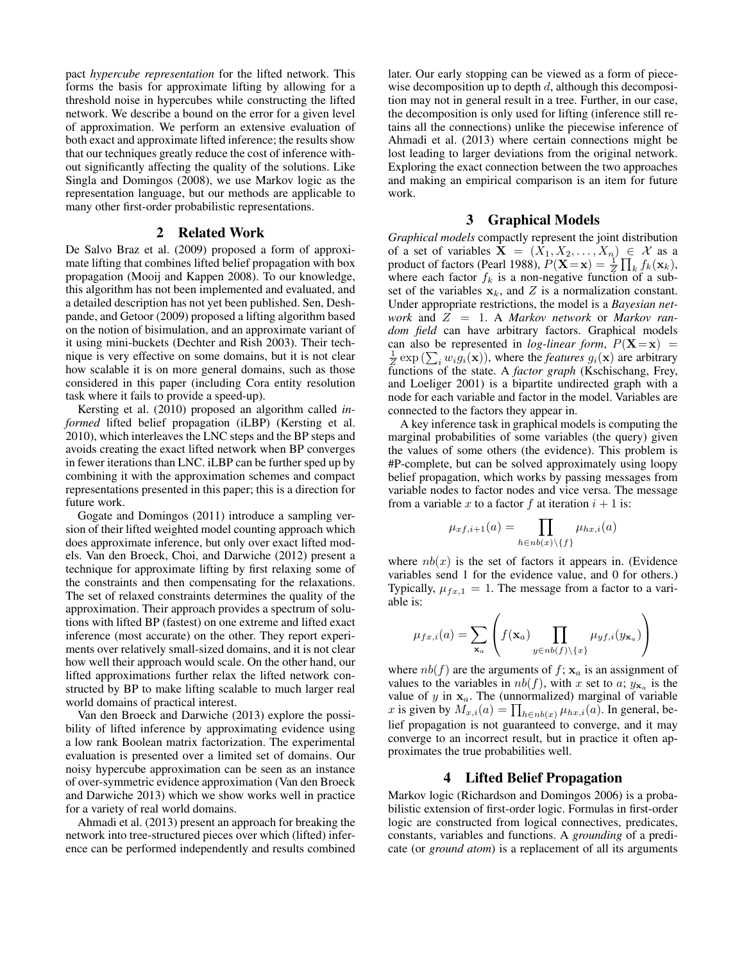pact *hypercube representation* for the lifted network. This forms the basis for approximate lifting by allowing for a threshold noise in hypercubes while constructing the lifted network. We describe a bound on the error for a given level of approximation. We perform an extensive evaluation of both exact and approximate lifted inference; the results show that our techniques greatly reduce the cost of inference without significantly affecting the quality of the solutions. Like Singla and Domingos (2008), we use Markov logic as the representation language, but our methods are applicable to many other first-order probabilistic representations.

#### 2 Related Work

De Salvo Braz et al. (2009) proposed a form of approximate lifting that combines lifted belief propagation with box propagation (Mooij and Kappen 2008). To our knowledge, this algorithm has not been implemented and evaluated, and a detailed description has not yet been published. Sen, Deshpande, and Getoor (2009) proposed a lifting algorithm based on the notion of bisimulation, and an approximate variant of it using mini-buckets (Dechter and Rish 2003). Their technique is very effective on some domains, but it is not clear how scalable it is on more general domains, such as those considered in this paper (including Cora entity resolution task where it fails to provide a speed-up).

Kersting et al. (2010) proposed an algorithm called *informed* lifted belief propagation (iLBP) (Kersting et al. 2010), which interleaves the LNC steps and the BP steps and avoids creating the exact lifted network when BP converges in fewer iterations than LNC. iLBP can be further sped up by combining it with the approximation schemes and compact representations presented in this paper; this is a direction for future work.

Gogate and Domingos (2011) introduce a sampling version of their lifted weighted model counting approach which does approximate inference, but only over exact lifted models. Van den Broeck, Choi, and Darwiche (2012) present a technique for approximate lifting by first relaxing some of the constraints and then compensating for the relaxations. The set of relaxed constraints determines the quality of the approximation. Their approach provides a spectrum of solutions with lifted BP (fastest) on one extreme and lifted exact inference (most accurate) on the other. They report experiments over relatively small-sized domains, and it is not clear how well their approach would scale. On the other hand, our lifted approximations further relax the lifted network constructed by BP to make lifting scalable to much larger real world domains of practical interest.

Van den Broeck and Darwiche (2013) explore the possibility of lifted inference by approximating evidence using a low rank Boolean matrix factorization. The experimental evaluation is presented over a limited set of domains. Our noisy hypercube approximation can be seen as an instance of over-symmetric evidence approximation (Van den Broeck and Darwiche 2013) which we show works well in practice for a variety of real world domains.

Ahmadi et al. (2013) present an approach for breaking the network into tree-structured pieces over which (lifted) inference can be performed independently and results combined

later. Our early stopping can be viewed as a form of piecewise decomposition up to depth  $d$ , although this decomposition may not in general result in a tree. Further, in our case, the decomposition is only used for lifting (inference still retains all the connections) unlike the piecewise inference of Ahmadi et al. (2013) where certain connections might be lost leading to larger deviations from the original network. Exploring the exact connection between the two approaches and making an empirical comparison is an item for future work.

#### 3 Graphical Models

*Graphical models* compactly represent the joint distribution of a set of variables  $X = (X_1, X_2, \ldots, X_n) \in \mathcal{X}$  as a product of factors (Pearl 1988),  $P(\mathbf{X} = \mathbf{x}) = \frac{1}{Z} \prod_k f_k(\mathbf{x}_k)$ , where each factor  $f_k$  is a non-negative function of a subset of the variables  $x_k$ , and Z is a normalization constant. Under appropriate restrictions, the model is a *Bayesian network* and Z = 1. A *Markov network* or *Markov random field* can have arbitrary factors. Graphical models can also be represented in *log-linear form*,  $P(X=x)$  =  $\frac{1}{Z}$  exp ( $\sum_i w_i g_i(\mathbf{x})$ ), where the *features*  $g_i(\mathbf{x})$  are arbitrary functions of the state. A *factor graph* (Kschischang, Frey, and Loeliger 2001) is a bipartite undirected graph with a node for each variable and factor in the model. Variables are connected to the factors they appear in.

A key inference task in graphical models is computing the marginal probabilities of some variables (the query) given the values of some others (the evidence). This problem is #P-complete, but can be solved approximately using loopy belief propagation, which works by passing messages from variable nodes to factor nodes and vice versa. The message from a variable x to a factor f at iteration  $i + 1$  is:

$$
\mu_{xf,i+1}(a) = \prod_{h \in nb(x) \setminus \{f\}} \mu_{hx,i}(a)
$$

where  $nb(x)$  is the set of factors it appears in. (Evidence variables send 1 for the evidence value, and 0 for others.) Typically,  $\mu_{fx,1} = 1$ . The message from a factor to a variable is:

$$
\mu_{fx,i}(a) = \sum_{\mathbf{x}_a} \left( f(\mathbf{x}_a) \prod_{y \in nb(f) \setminus \{x\}} \mu_{yf,i}(y_{\mathbf{x}_a}) \right)
$$

where  $nb(f)$  are the arguments of  $f$ ;  $x_a$  is an assignment of values to the variables in  $nb(f)$ , with x set to a;  $y_{\mathbf{x}_a}$  is the value of  $y$  in  $x_a$ . The (unnormalized) marginal of variable x is given by  $M_{x,i}(a) = \prod_{h \in nb(x)} \mu_{hx,i}(a)$ . In general, belief propagation is not guaranteed to converge, and it may converge to an incorrect result, but in practice it often approximates the true probabilities well.

### 4 Lifted Belief Propagation

Markov logic (Richardson and Domingos 2006) is a probabilistic extension of first-order logic. Formulas in first-order logic are constructed from logical connectives, predicates, constants, variables and functions. A *grounding* of a predicate (or *ground atom*) is a replacement of all its arguments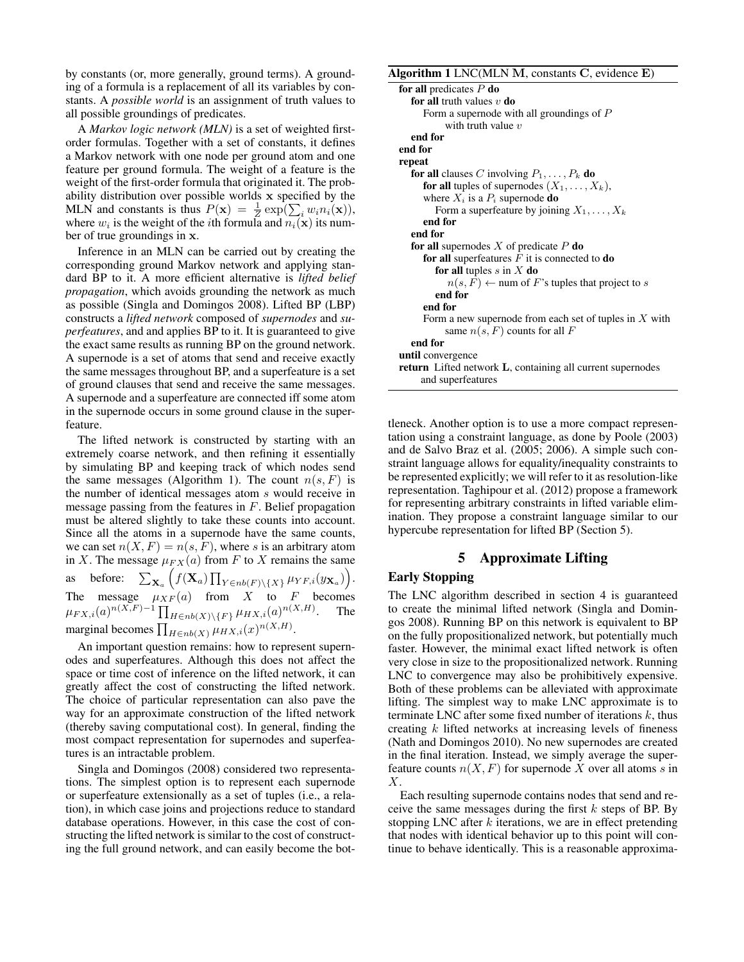by constants (or, more generally, ground terms). A grounding of a formula is a replacement of all its variables by constants. A *possible world* is an assignment of truth values to all possible groundings of predicates.

A *Markov logic network (MLN)* is a set of weighted firstorder formulas. Together with a set of constants, it defines a Markov network with one node per ground atom and one feature per ground formula. The weight of a feature is the weight of the first-order formula that originated it. The probability distribution over possible worlds x specified by the MLN and constants is thus  $P(\mathbf{x}) = \frac{1}{Z} \exp(\sum_i w_i n_i(\mathbf{x})),$ where  $w_i$  is the weight of the *i*th formula and  $n_i(\mathbf{x})$  its number of true groundings in x.

Inference in an MLN can be carried out by creating the corresponding ground Markov network and applying standard BP to it. A more efficient alternative is *lifted belief propagation*, which avoids grounding the network as much as possible (Singla and Domingos 2008). Lifted BP (LBP) constructs a *lifted network* composed of *supernodes* and *superfeatures*, and and applies BP to it. It is guaranteed to give the exact same results as running BP on the ground network. A supernode is a set of atoms that send and receive exactly the same messages throughout BP, and a superfeature is a set of ground clauses that send and receive the same messages. A supernode and a superfeature are connected iff some atom in the supernode occurs in some ground clause in the superfeature.

The lifted network is constructed by starting with an extremely coarse network, and then refining it essentially by simulating BP and keeping track of which nodes send the same messages (Algorithm 1). The count  $n(s, F)$  is the number of identical messages atom s would receive in message passing from the features in  $F$ . Belief propagation must be altered slightly to take these counts into account. Since all the atoms in a supernode have the same counts, we can set  $n(X, F) = n(s, F)$ , where s is an arbitrary atom in X. The message  $\mu_{FX}(a)$  from F to X remains the same as before:  $\sum_{\mathbf{X}_a} \left( f(\mathbf{X}_a) \prod_{Y \in nb(F) \setminus \{X\}} \mu_{YF,i}(y_{\mathbf{X}_a}) \right)$ . The message  $\mu_{XF}(a)$  from X to F becomes  $\mu_{FX,i}(a)^{n(X,F)-1} \prod_{H \in nb(X) \setminus \{F\}} \mu_{HX,i}(a)^{n(X,H)}.$  The marginal becomes  $\prod_{H \in nb(X)} \mu_{H X,i}(x)^{n(X,H)}$ .

An important question remains: how to represent supernodes and superfeatures. Although this does not affect the space or time cost of inference on the lifted network, it can greatly affect the cost of constructing the lifted network. The choice of particular representation can also pave the way for an approximate construction of the lifted network (thereby saving computational cost). In general, finding the most compact representation for supernodes and superfeatures is an intractable problem.

Singla and Domingos (2008) considered two representations. The simplest option is to represent each supernode or superfeature extensionally as a set of tuples (i.e., a relation), in which case joins and projections reduce to standard database operations. However, in this case the cost of constructing the lifted network is similar to the cost of constructing the full ground network, and can easily become the bot-

#### Algorithm 1 LNC(MLN M, constants C, evidence E)

| for all predicates $P$ do                                                 |
|---------------------------------------------------------------------------|
| for all truth values $v$ do                                               |
| Form a supernode with all groundings of $P$                               |
| with truth value $v$                                                      |
| end for                                                                   |
| end for                                                                   |
| repeat                                                                    |
| <b>for all</b> clauses C involving $P_1, \ldots, P_k$ <b>do</b>           |
| for all tuples of supernodes $(X_1, \ldots, X_k)$ ,                       |
| where $X_i$ is a $P_i$ supernode <b>do</b>                                |
| Form a superfeature by joining $X_1, \ldots, X_k$                         |
| end for                                                                   |
| end for                                                                   |
| for all supernodes X of predicate $P$ do                                  |
| for all superfeatures $F$ it is connected to <b>do</b>                    |
| for all tuples $s$ in $X$ do                                              |
| $n(s, F) \leftarrow$ num of F's tuples that project to s                  |
| end for                                                                   |
| end for                                                                   |
| Form a new supernode from each set of tuples in $X$ with                  |
| same $n(s, F)$ counts for all F                                           |
| end for                                                                   |
| until convergence                                                         |
| <b>return</b> Lifted network <b>L</b> , containing all current supernodes |
| and superfeatures                                                         |

tleneck. Another option is to use a more compact representation using a constraint language, as done by Poole (2003) and de Salvo Braz et al. (2005; 2006). A simple such constraint language allows for equality/inequality constraints to be represented explicitly; we will refer to it as resolution-like representation. Taghipour et al. (2012) propose a framework for representing arbitrary constraints in lifted variable elimination. They propose a constraint language similar to our hypercube representation for lifted BP (Section 5).

#### 5 Approximate Lifting

## Early Stopping

The LNC algorithm described in section 4 is guaranteed to create the minimal lifted network (Singla and Domingos 2008). Running BP on this network is equivalent to BP on the fully propositionalized network, but potentially much faster. However, the minimal exact lifted network is often very close in size to the propositionalized network. Running LNC to convergence may also be prohibitively expensive. Both of these problems can be alleviated with approximate lifting. The simplest way to make LNC approximate is to terminate LNC after some fixed number of iterations  $k$ , thus creating k lifted networks at increasing levels of fineness (Nath and Domingos 2010). No new supernodes are created in the final iteration. Instead, we simply average the superfeature counts  $n(X, F)$  for supernode X over all atoms s in X.

Each resulting supernode contains nodes that send and receive the same messages during the first  $k$  steps of BP. By stopping LNC after  $k$  iterations, we are in effect pretending that nodes with identical behavior up to this point will continue to behave identically. This is a reasonable approxima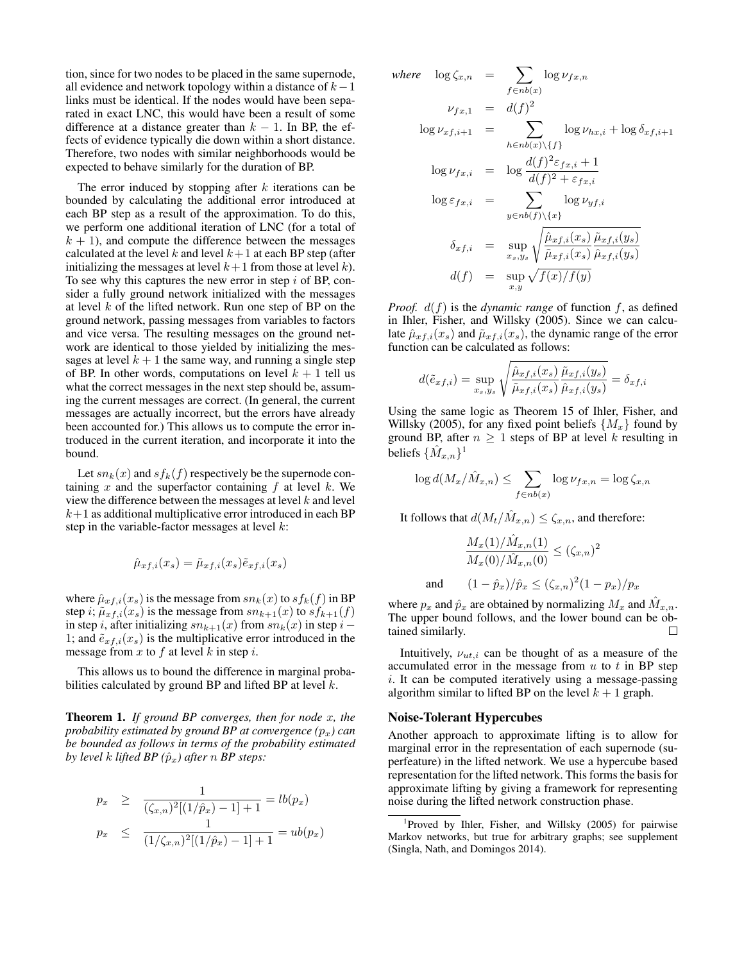tion, since for two nodes to be placed in the same supernode, all evidence and network topology within a distance of  $k-1$ links must be identical. If the nodes would have been separated in exact LNC, this would have been a result of some difference at a distance greater than  $k - 1$ . In BP, the effects of evidence typically die down within a short distance. Therefore, two nodes with similar neighborhoods would be expected to behave similarly for the duration of BP.

The error induced by stopping after  $k$  iterations can be bounded by calculating the additional error introduced at each BP step as a result of the approximation. To do this, we perform one additional iteration of LNC (for a total of  $k + 1$ , and compute the difference between the messages calculated at the level k and level  $k+1$  at each BP step (after initializing the messages at level  $k+1$  from those at level k). To see why this captures the new error in step  $i$  of BP, consider a fully ground network initialized with the messages at level  $k$  of the lifted network. Run one step of BP on the ground network, passing messages from variables to factors and vice versa. The resulting messages on the ground network are identical to those yielded by initializing the messages at level  $k + 1$  the same way, and running a single step of BP. In other words, computations on level  $k + 1$  tell us what the correct messages in the next step should be, assuming the current messages are correct. (In general, the current messages are actually incorrect, but the errors have already been accounted for.) This allows us to compute the error introduced in the current iteration, and incorporate it into the bound.

Let  $sn_k(x)$  and  $sf_k(f)$  respectively be the supernode containing x and the superfactor containing f at level k. We view the difference between the messages at level  $k$  and level  $k+1$  as additional multiplicative error introduced in each BP step in the variable-factor messages at level  $k$ :

$$
\hat{\mu}_{xf,i}(x_s) = \tilde{\mu}_{xf,i}(x_s)\tilde{e}_{xf,i}(x_s)
$$

where  $\hat{\mu}_{xf,i}(x_s)$  is the message from  $sn_k(x)$  to  $sf_k(f)$  in BP step i;  $\tilde{\mu}_{xf,i}(x_s)$  is the message from  $sn_{k+1}(x)$  to  $sf_{k+1}(f)$ in step i, after initializing  $sn_{k+1}(x)$  from  $sn_k(x)$  in step  $i-$ 1; and  $\tilde{e}_{xf,i}(x_s)$  is the multiplicative error introduced in the message from  $x$  to  $f$  at level  $k$  in step  $i$ .

This allows us to bound the difference in marginal probabilities calculated by ground BP and lifted BP at level  $k$ .

Theorem 1. *If ground BP converges, then for node* x*, the probability estimated by ground BP at convergence*  $(p_x)$  *can be bounded as follows in terms of the probability estimated by level k lifted BP*  $(\hat{p}_x)$  *after* n *BP steps:* 

$$
p_x \ge \frac{1}{(\zeta_{x,n})^2[(1/\hat{p}_x) - 1] + 1} = lb(p_x)
$$
  

$$
p_x \le \frac{1}{(1/\zeta_{x,n})^2[(1/\hat{p}_x) - 1] + 1} = ub(p_x)
$$

where 
$$
\log \zeta_{x,n} = \sum_{f \in nb(x)} \log \nu_{fx,n}
$$
  
\n
$$
\nu_{fx,1} = d(f)^2
$$
\n
$$
\log \nu_{xf,i+1} = \sum_{h \in nb(x) \setminus \{f\}} \log \nu_{hx,i} + \log \delta_{xf,i+1}
$$
\n
$$
\log \nu_{fx,i} = \log \frac{d(f)^2 \varepsilon_{fx,i} + 1}{d(f)^2 + \varepsilon_{fx,i}}
$$
\n
$$
\log \varepsilon_{fx,i} = \sum_{y \in nb(f) \setminus \{x\}} \log \nu_{yf,i}
$$
\n
$$
\delta_{xf,i} = \sup_{x_s, y_s} \sqrt{\frac{\hat{\mu}_{xf,i}(x_s) \ \tilde{\mu}_{xf,i}(y_s)}{\tilde{\mu}_{xf,i}(x_s) \ \hat{\mu}_{xf,i}(y_s)}}
$$
\n
$$
d(f) = \sup_{x,y} \sqrt{f(x)/f(y)}
$$

*Proof.*  $d(f)$  is the *dynamic range* of function f, as defined in Ihler, Fisher, and Willsky (2005). Since we can calculate  $\hat{\mu}_{xf,i}(x_s)$  and  $\tilde{\mu}_{xf,i}(x_s)$ , the dynamic range of the error function can be calculated as follows:

$$
d(\tilde{e}_{xf,i}) = \sup_{x_s,y_s} \sqrt{\frac{\hat{\mu}_{xf,i}(x_s)}{\tilde{\mu}_{xf,i}(x_s)} \frac{\tilde{\mu}_{xf,i}(y_s)}{\hat{\mu}_{xf,i}(y_s)}} = \delta_{xf,i}
$$

Using the same logic as Theorem 15 of Ihler, Fisher, and Willsky (2005), for any fixed point beliefs  $\{M_x\}$  found by ground BP, after  $n \geq 1$  steps of BP at level k resulting in beliefs  $\{\hat{M}_{x,n}\}^1$ 

$$
\log d(M_x/\hat{M}_{x,n}) \le \sum_{f \in nb(x)} \log \nu_{fx,n} = \log \zeta_{x,n}
$$

It follows that  $d(M_t/\hat{M}_{x,n}) \leq \zeta_{x,n}$ , and therefore:

$$
\frac{M_x(1)/\hat{M}_{x,n}(1)}{M_x(0)/\hat{M}_{x,n}(0)} \le (\zeta_{x,n})^2
$$
\nand\n
$$
(1 - \hat{p}_x)/\hat{p}_x \le (\zeta_{x,n})^2 (1 - p_x)/p_x
$$

where  $p_x$  and  $\hat{p}_x$  are obtained by normalizing  $M_x$  and  $\hat{M}_{x,n}$ . The upper bound follows, and the lower bound can be obtained similarly.

Intuitively,  $\nu_{ut,i}$  can be thought of as a measure of the accumulated error in the message from  $u$  to  $t$  in BP step i. It can be computed iteratively using a message-passing algorithm similar to lifted BP on the level  $k + 1$  graph.

#### Noise-Tolerant Hypercubes

Another approach to approximate lifting is to allow for marginal error in the representation of each supernode (superfeature) in the lifted network. We use a hypercube based representation for the lifted network. This forms the basis for approximate lifting by giving a framework for representing noise during the lifted network construction phase.

1 Proved by Ihler, Fisher, and Willsky (2005) for pairwise Markov networks, but true for arbitrary graphs; see supplement (Singla, Nath, and Domingos 2014).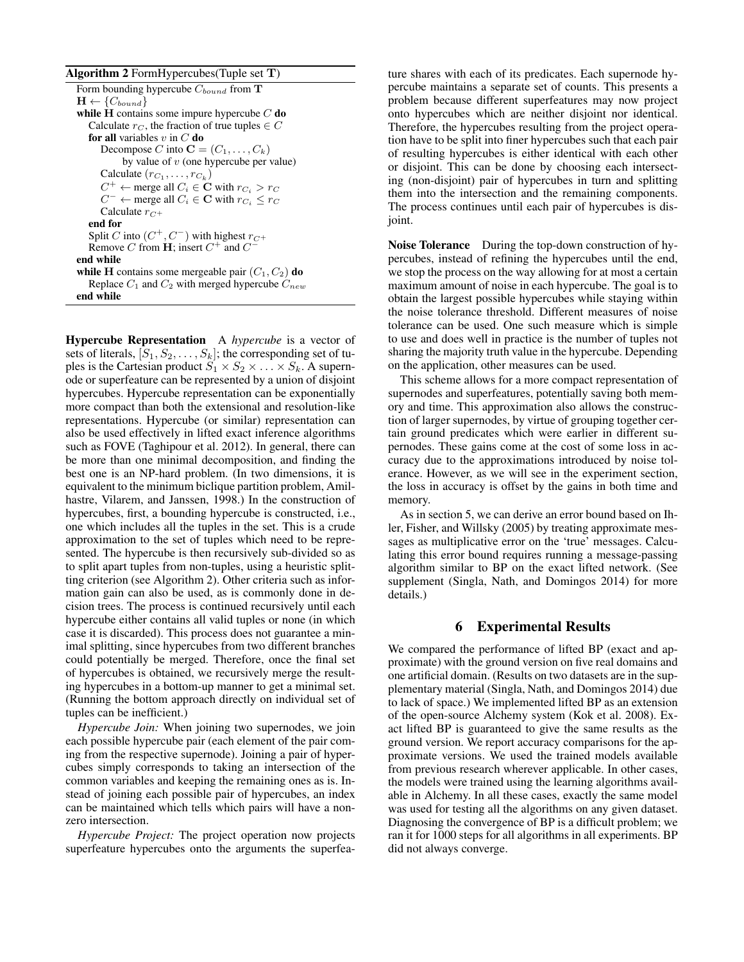#### Algorithm 2 FormHypercubes(Tuple set T)

Hypercube Representation A *hypercube* is a vector of sets of literals,  $[S_1, S_2, \ldots, S_k]$ ; the corresponding set of tuples is the Cartesian product  $S_1 \times S_2 \times \ldots \times S_k$ . A supernode or superfeature can be represented by a union of disjoint hypercubes. Hypercube representation can be exponentially more compact than both the extensional and resolution-like representations. Hypercube (or similar) representation can also be used effectively in lifted exact inference algorithms such as FOVE (Taghipour et al. 2012). In general, there can be more than one minimal decomposition, and finding the best one is an NP-hard problem. (In two dimensions, it is equivalent to the minimum biclique partition problem, Amilhastre, Vilarem, and Janssen, 1998.) In the construction of hypercubes, first, a bounding hypercube is constructed, i.e., one which includes all the tuples in the set. This is a crude approximation to the set of tuples which need to be represented. The hypercube is then recursively sub-divided so as to split apart tuples from non-tuples, using a heuristic splitting criterion (see Algorithm 2). Other criteria such as information gain can also be used, as is commonly done in decision trees. The process is continued recursively until each hypercube either contains all valid tuples or none (in which case it is discarded). This process does not guarantee a minimal splitting, since hypercubes from two different branches could potentially be merged. Therefore, once the final set of hypercubes is obtained, we recursively merge the resulting hypercubes in a bottom-up manner to get a minimal set. (Running the bottom approach directly on individual set of tuples can be inefficient.)

*Hypercube Join:* When joining two supernodes, we join each possible hypercube pair (each element of the pair coming from the respective supernode). Joining a pair of hypercubes simply corresponds to taking an intersection of the common variables and keeping the remaining ones as is. Instead of joining each possible pair of hypercubes, an index can be maintained which tells which pairs will have a nonzero intersection.

*Hypercube Project:* The project operation now projects superfeature hypercubes onto the arguments the superfea-

ture shares with each of its predicates. Each supernode hypercube maintains a separate set of counts. This presents a problem because different superfeatures may now project onto hypercubes which are neither disjoint nor identical. Therefore, the hypercubes resulting from the project operation have to be split into finer hypercubes such that each pair of resulting hypercubes is either identical with each other or disjoint. This can be done by choosing each intersecting (non-disjoint) pair of hypercubes in turn and splitting them into the intersection and the remaining components. The process continues until each pair of hypercubes is disjoint.

Noise Tolerance During the top-down construction of hypercubes, instead of refining the hypercubes until the end, we stop the process on the way allowing for at most a certain maximum amount of noise in each hypercube. The goal is to obtain the largest possible hypercubes while staying within the noise tolerance threshold. Different measures of noise tolerance can be used. One such measure which is simple to use and does well in practice is the number of tuples not sharing the majority truth value in the hypercube. Depending on the application, other measures can be used.

This scheme allows for a more compact representation of supernodes and superfeatures, potentially saving both memory and time. This approximation also allows the construction of larger supernodes, by virtue of grouping together certain ground predicates which were earlier in different supernodes. These gains come at the cost of some loss in accuracy due to the approximations introduced by noise tolerance. However, as we will see in the experiment section, the loss in accuracy is offset by the gains in both time and memory.

As in section 5, we can derive an error bound based on Ihler, Fisher, and Willsky (2005) by treating approximate messages as multiplicative error on the 'true' messages. Calculating this error bound requires running a message-passing algorithm similar to BP on the exact lifted network. (See supplement (Singla, Nath, and Domingos 2014) for more details.)

#### 6 Experimental Results

We compared the performance of lifted BP (exact and approximate) with the ground version on five real domains and one artificial domain. (Results on two datasets are in the supplementary material (Singla, Nath, and Domingos 2014) due to lack of space.) We implemented lifted BP as an extension of the open-source Alchemy system (Kok et al. 2008). Exact lifted BP is guaranteed to give the same results as the ground version. We report accuracy comparisons for the approximate versions. We used the trained models available from previous research wherever applicable. In other cases, the models were trained using the learning algorithms available in Alchemy. In all these cases, exactly the same model was used for testing all the algorithms on any given dataset. Diagnosing the convergence of BP is a difficult problem; we ran it for 1000 steps for all algorithms in all experiments. BP did not always converge.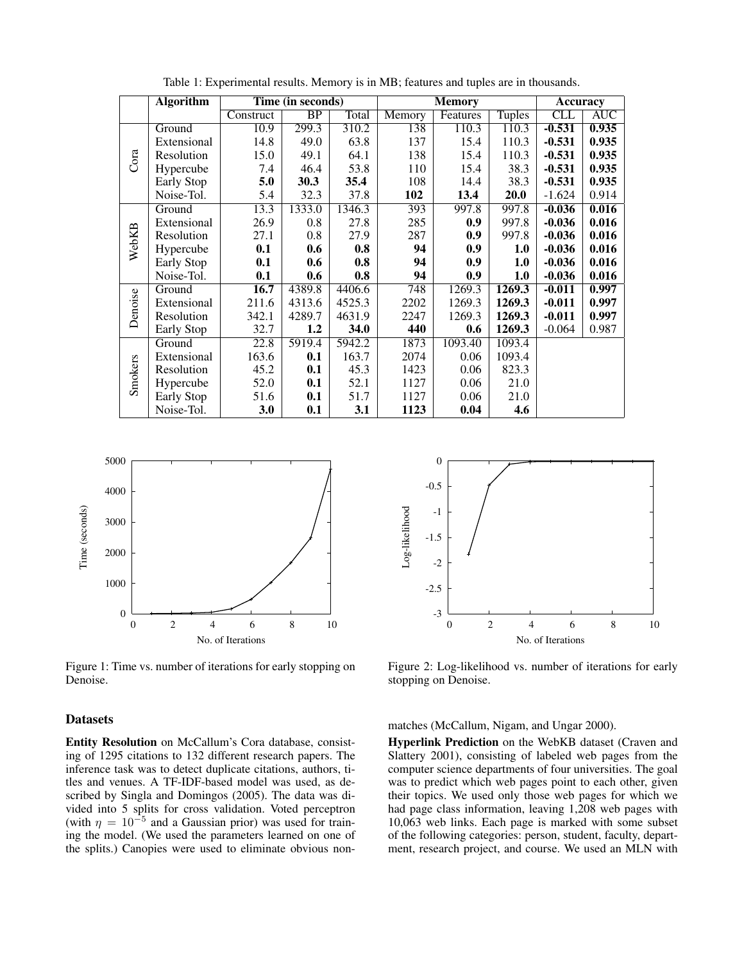|         | <b>Algorithm</b>  | Time (in seconds) |                 |              | <b>Memory</b> |          |               | <b>Accuracy</b> |            |
|---------|-------------------|-------------------|-----------------|--------------|---------------|----------|---------------|-----------------|------------|
|         |                   | Construct         | $\overline{BP}$ | <b>Total</b> | Memory        | Features | <b>Tuples</b> | CLL             | <b>AUC</b> |
| Cora    | Ground            | 10.9              | 299.3           | 310.2        | 138           | 110.3    | 110.3         | $-0.531$        | 0.935      |
|         | Extensional       | 14.8              | 49.0            | 63.8         | 137           | 15.4     | 110.3         | $-0.531$        | 0.935      |
|         | Resolution        | 15.0              | 49.1            | 64.1         | 138           | 15.4     | 110.3         | $-0.531$        | 0.935      |
|         | Hypercube         | 7.4               | 46.4            | 53.8         | 110           | 15.4     | 38.3          | $-0.531$        | 0.935      |
|         | Early Stop        | 5.0               | 30.3            | 35.4         | 108           | 14.4     | 38.3          | $-0.531$        | 0.935      |
|         | Noise-Tol.        | 5.4               | 32.3            | 37.8         | 102           | 13.4     | 20.0          | $-1.624$        | 0.914      |
| WebKB   | Ground            | 13.3              | 1333.0          | 1346.3       | 393           | 997.8    | 997.8         | $-0.036$        | 0.016      |
|         | Extensional       | 26.9              | 0.8             | 27.8         | 285           | 0.9      | 997.8         | $-0.036$        | 0.016      |
|         | Resolution        | 27.1              | 0.8             | 27.9         | 287           | 0.9      | 997.8         | $-0.036$        | 0.016      |
|         | Hypercube         | 0.1               | 0.6             | 0.8          | 94            | 0.9      | 1.0           | $-0.036$        | 0.016      |
|         | Early Stop        | 0.1               | 0.6             | 0.8          | 94            | 0.9      | 1.0           | $-0.036$        | 0.016      |
|         | Noise-Tol.        | 0.1               | 0.6             | 0.8          | 94            | 0.9      | 1.0           | $-0.036$        | 0.016      |
| Denoise | Ground            | 16.7              | 4389.8          | 4406.6       | 748           | 1269.3   | 1269.3        | $-0.011$        | 0.997      |
|         | Extensional       | 211.6             | 4313.6          | 4525.3       | 2202          | 1269.3   | 1269.3        | $-0.011$        | 0.997      |
|         | Resolution        | 342.1             | 4289.7          | 4631.9       | 2247          | 1269.3   | 1269.3        | $-0.011$        | 0.997      |
|         | <b>Early Stop</b> | 32.7              | 1.2             | 34.0         | 440           | 0.6      | 1269.3        | $-0.064$        | 0.987      |
| Smokers | Ground            | $\overline{22.8}$ | 5919.4          | 5942.2       | 1873          | 1093.40  | 1093.4        |                 |            |
|         | Extensional       | 163.6             | 0.1             | 163.7        | 2074          | 0.06     | 1093.4        |                 |            |
|         | Resolution        | 45.2              | 0.1             | 45.3         | 1423          | 0.06     | 823.3         |                 |            |
|         | Hypercube         | 52.0              | 0.1             | 52.1         | 1127          | 0.06     | 21.0          |                 |            |
|         | Early Stop        | 51.6              | 0.1             | 51.7         | 1127          | 0.06     | 21.0          |                 |            |
|         | Noise-Tol.        | 3.0               | 0.1             | 3.1          | 1123          | 0.04     | 4.6           |                 |            |

Table 1: Experimental results. Memory is in MB; features and tuples are in thousands.



Figure 1: Time vs. number of iterations for early stopping on Denoise.

#### Datasets

Entity Resolution on McCallum's Cora database, consisting of 1295 citations to 132 different research papers. The inference task was to detect duplicate citations, authors, titles and venues. A TF-IDF-based model was used, as described by Singla and Domingos (2005). The data was divided into 5 splits for cross validation. Voted perceptron (with  $\eta = 10^{-5}$  and a Gaussian prior) was used for training the model. (We used the parameters learned on one of the splits.) Canopies were used to eliminate obvious non-



Figure 2: Log-likelihood vs. number of iterations for early stopping on Denoise.

matches (McCallum, Nigam, and Ungar 2000).

Hyperlink Prediction on the WebKB dataset (Craven and Slattery 2001), consisting of labeled web pages from the computer science departments of four universities. The goal was to predict which web pages point to each other, given their topics. We used only those web pages for which we had page class information, leaving 1,208 web pages with 10,063 web links. Each page is marked with some subset of the following categories: person, student, faculty, department, research project, and course. We used an MLN with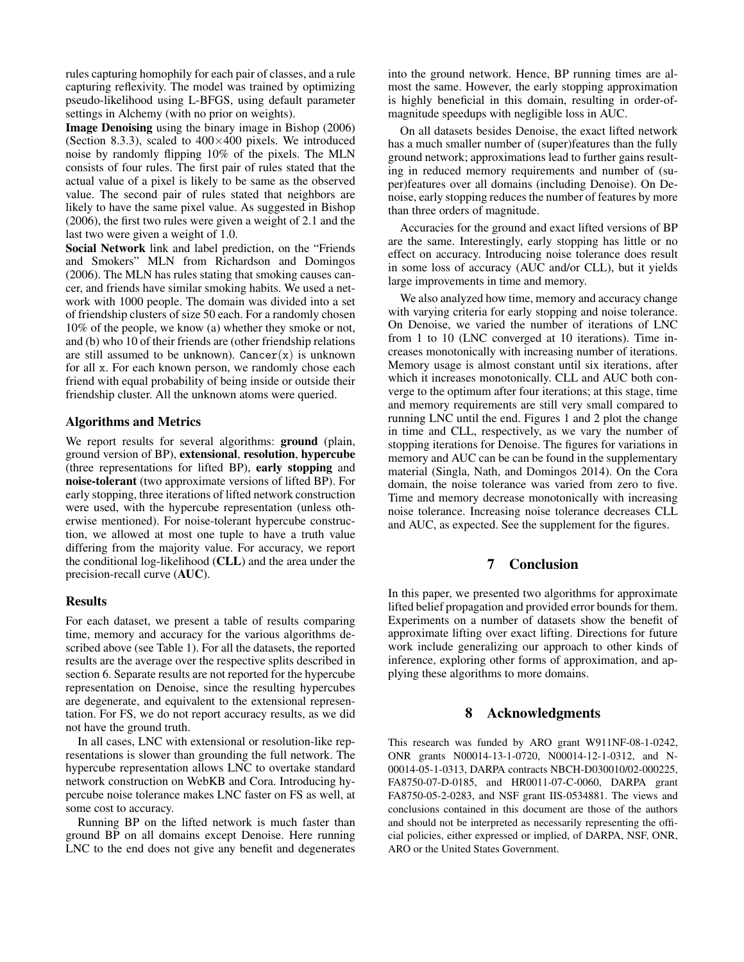rules capturing homophily for each pair of classes, and a rule capturing reflexivity. The model was trained by optimizing pseudo-likelihood using L-BFGS, using default parameter settings in Alchemy (with no prior on weights).

Image Denoising using the binary image in Bishop (2006) (Section 8.3.3), scaled to  $400\times400$  pixels. We introduced noise by randomly flipping 10% of the pixels. The MLN consists of four rules. The first pair of rules stated that the actual value of a pixel is likely to be same as the observed value. The second pair of rules stated that neighbors are likely to have the same pixel value. As suggested in Bishop (2006), the first two rules were given a weight of 2.1 and the last two were given a weight of 1.0.

Social Network link and label prediction, on the "Friends and Smokers" MLN from Richardson and Domingos (2006). The MLN has rules stating that smoking causes cancer, and friends have similar smoking habits. We used a network with 1000 people. The domain was divided into a set of friendship clusters of size 50 each. For a randomly chosen 10% of the people, we know (a) whether they smoke or not, and (b) who 10 of their friends are (other friendship relations are still assumed to be unknown).  $Cancer(x)$  is unknown for all x. For each known person, we randomly chose each friend with equal probability of being inside or outside their friendship cluster. All the unknown atoms were queried.

#### Algorithms and Metrics

We report results for several algorithms: ground (plain, ground version of BP), extensional, resolution, hypercube (three representations for lifted BP), early stopping and noise-tolerant (two approximate versions of lifted BP). For early stopping, three iterations of lifted network construction were used, with the hypercube representation (unless otherwise mentioned). For noise-tolerant hypercube construction, we allowed at most one tuple to have a truth value differing from the majority value. For accuracy, we report the conditional log-likelihood (CLL) and the area under the precision-recall curve (AUC).

### Results

For each dataset, we present a table of results comparing time, memory and accuracy for the various algorithms described above (see Table 1). For all the datasets, the reported results are the average over the respective splits described in section 6. Separate results are not reported for the hypercube representation on Denoise, since the resulting hypercubes are degenerate, and equivalent to the extensional representation. For FS, we do not report accuracy results, as we did not have the ground truth.

In all cases, LNC with extensional or resolution-like representations is slower than grounding the full network. The hypercube representation allows LNC to overtake standard network construction on WebKB and Cora. Introducing hypercube noise tolerance makes LNC faster on FS as well, at some cost to accuracy.

Running BP on the lifted network is much faster than ground BP on all domains except Denoise. Here running LNC to the end does not give any benefit and degenerates into the ground network. Hence, BP running times are almost the same. However, the early stopping approximation is highly beneficial in this domain, resulting in order-ofmagnitude speedups with negligible loss in AUC.

On all datasets besides Denoise, the exact lifted network has a much smaller number of (super)features than the fully ground network; approximations lead to further gains resulting in reduced memory requirements and number of (super)features over all domains (including Denoise). On Denoise, early stopping reduces the number of features by more than three orders of magnitude.

Accuracies for the ground and exact lifted versions of BP are the same. Interestingly, early stopping has little or no effect on accuracy. Introducing noise tolerance does result in some loss of accuracy (AUC and/or CLL), but it yields large improvements in time and memory.

We also analyzed how time, memory and accuracy change with varying criteria for early stopping and noise tolerance. On Denoise, we varied the number of iterations of LNC from 1 to 10 (LNC converged at 10 iterations). Time increases monotonically with increasing number of iterations. Memory usage is almost constant until six iterations, after which it increases monotonically. CLL and AUC both converge to the optimum after four iterations; at this stage, time and memory requirements are still very small compared to running LNC until the end. Figures 1 and 2 plot the change in time and CLL, respectively, as we vary the number of stopping iterations for Denoise. The figures for variations in memory and AUC can be can be found in the supplementary material (Singla, Nath, and Domingos 2014). On the Cora domain, the noise tolerance was varied from zero to five. Time and memory decrease monotonically with increasing noise tolerance. Increasing noise tolerance decreases CLL and AUC, as expected. See the supplement for the figures.

# 7 Conclusion

In this paper, we presented two algorithms for approximate lifted belief propagation and provided error bounds for them. Experiments on a number of datasets show the benefit of approximate lifting over exact lifting. Directions for future work include generalizing our approach to other kinds of inference, exploring other forms of approximation, and applying these algorithms to more domains.

#### 8 Acknowledgments

This research was funded by ARO grant W911NF-08-1-0242, ONR grants N00014-13-1-0720, N00014-12-1-0312, and N-00014-05-1-0313, DARPA contracts NBCH-D030010/02-000225, FA8750-07-D-0185, and HR0011-07-C-0060, DARPA grant FA8750-05-2-0283, and NSF grant IIS-0534881. The views and conclusions contained in this document are those of the authors and should not be interpreted as necessarily representing the official policies, either expressed or implied, of DARPA, NSF, ONR, ARO or the United States Government.